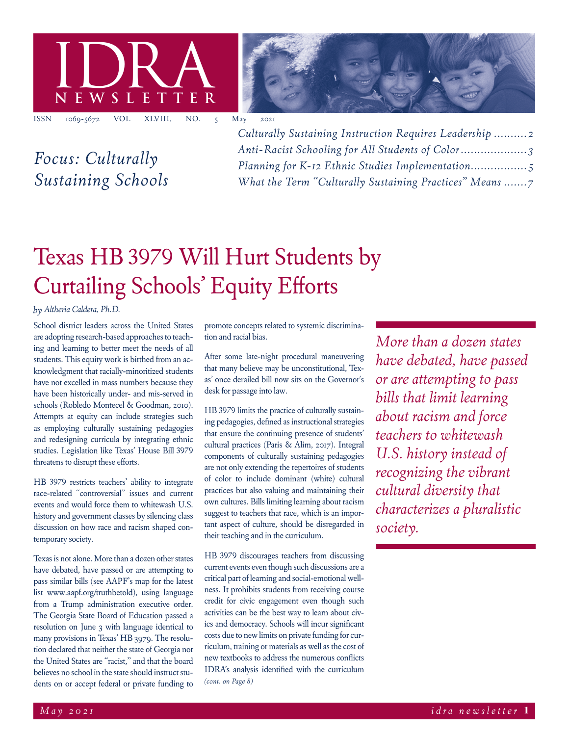



*Focus: Culturally Sustaining Schools* *Culturally Sustaining Instruction Requires Leadership .......... 2 Anti-Racist Schooling for All Students of Color.................... 3 Planning for K-12 Ethnic Studies Implementation................. 5 What the Term "Culturally Sustaining Practices" Means .......7*

# Texas HB 3979 Will Hurt Students by Curtailing Schools' Equity Efforts

### *by Altheria Caldera, Ph.D.*

School district leaders across the United States are adopting research-based approaches to teaching and learning to better meet the needs of all students. This equity work is birthed from an acknowledgment that racially-minoritized students have not excelled in mass numbers because they have been historically under- and mis-served in schools (Robledo Montecel & Goodman, 2010). Attempts at equity can include strategies such as employing culturally sustaining pedagogies and redesigning curricula by integrating ethnic studies. Legislation like Texas' House Bill 3979 threatens to disrupt these efforts.

HB 3979 restricts teachers' ability to integrate race-related "controversial" issues and current events and would force them to whitewash U.S. history and government classes by silencing class discussion on how race and racism shaped contemporary society.

Texas is not alone. More than a dozen other states have debated, have passed or are attempting to pass similar bills (see AAPF's map for the latest list www.aapf.org/truthbetold), using language from a Trump administration executive order. The Georgia State Board of Education passed a resolution on June 3 with language identical to many provisions in Texas' HB 3979. The resolution declared that neither the state of Georgia nor the United States are "racist," and that the board believes no school in the state should instruct students on or accept federal or private funding to promote concepts related to systemic discrimination and racial bias.

After some late-night procedural maneuvering that many believe may be unconstitutional, Texas' once derailed bill now sits on the Governor's desk for passage into law.

HB 3979 limits the practice of culturally sustaining pedagogies, defined as instructional strategies that ensure the continuing presence of students' cultural practices (Paris & Alim, 2017). Integral components of culturally sustaining pedagogies are not only extending the repertoires of students of color to include dominant (white) cultural practices but also valuing and maintaining their own cultures. Bills limiting learning about racism suggest to teachers that race, which is an important aspect of culture, should be disregarded in their teaching and in the curriculum.

*(cont. on Page 8)* HB 3979 discourages teachers from discussing current events even though such discussions are a critical part of learning and social-emotional wellness. It prohibits students from receiving course credit for civic engagement even though such activities can be the best way to learn about civics and democracy. Schools will incur significant costs due to new limits on private funding for curriculum, training or materials as well as the cost of new textbooks to address the numerous conflicts IDRA's analysis identified with the curriculum

*More than a dozen states have debated, have passed or are attempting to pass bills that limit learning about racism and force teachers to whitewash U.S. history instead of recognizing the vibrant cultural diversity that characterizes a pluralistic society.*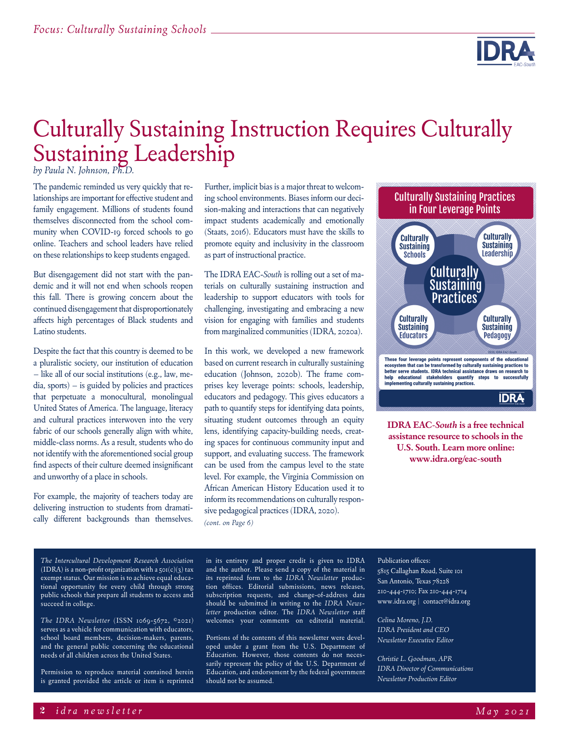

# Culturally Sustaining Instruction Requires Culturally Sustaining Leadership

*by Paula N. Johnson, Ph.D.*

The pandemic reminded us very quickly that relationships are important for effective student and family engagement. Millions of students found themselves disconnected from the school community when COVID-19 forced schools to go online. Teachers and school leaders have relied on these relationships to keep students engaged.

But disengagement did not start with the pandemic and it will not end when schools reopen this fall. There is growing concern about the continued disengagement that disproportionately affects high percentages of Black students and Latino students.

Despite the fact that this country is deemed to be a pluralistic society, our institution of education – like all of our social institutions (e.g., law, media, sports) – is guided by policies and practices that perpetuate a monocultural, monolingual United States of America. The language, literacy and cultural practices interwoven into the very fabric of our schools generally align with white, middle-class norms. As a result, students who do not identify with the aforementioned social group find aspects of their culture deemed insignificant and unworthy of a place in schools.

For example, the majority of teachers today are delivering instruction to students from dramatically different backgrounds than themselves.

Further, implicit bias is a major threat to welcoming school environments. Biases inform our decision-making and interactions that can negatively impact students academically and emotionally (Staats, 2016). Educators must have the skills to promote equity and inclusivity in the classroom as part of instructional practice.

The IDRA EAC-*South* is rolling out a set of materials on culturally sustaining instruction and leadership to support educators with tools for challenging, investigating and embracing a new vision for engaging with families and students from marginalized communities (IDRA, 2020a).

*(cont. on Page 6)* In this work, we developed a new framework based on current research in culturally sustaining education (Johnson, 2020b). The frame comprises key leverage points: schools, leadership, educators and pedagogy. This gives educators a path to quantify steps for identifying data points, situating student outcomes through an equity lens, identifying capacity-building needs, creating spaces for continuous community input and support, and evaluating success. The framework can be used from the campus level to the state level. For example, the Virginia Commission on African American History Education used it to inform its recommendations on culturally responsive pedagogical practices (IDRA, 2020).



**IDRA EAC-***South* **is a free technical assistance resource to schools in the U.S. South. Learn more online: www.idra.org/eac-south**

*The Intercultural Development Research Association* (IDRA) is a non-profit organization with a  $\varsigma$ o $\varsigma$ (c)(3) tax exempt status. Our mission is to achieve equal educational opportunity for every child through strong public schools that prepare all students to access and succeed in college.

*The IDRA Newsletter* (ISSN 1069-5672, ©2021) serves as a vehicle for communication with educators, school board members, decision-makers, parents, and the general public concerning the educational needs of all children across the United States.

Permission to reproduce material contained herein is granted provided the article or item is reprinted

in its entirety and proper credit is given to IDRA and the author. Please send a copy of the material in its reprinted form to the *IDRA Newsletter* production offices. Editorial submissions, news releases, subscription requests, and change-of-address data should be submitted in writing to the *IDRA Newsletter* production editor. The *IDRA Newsletter* staff welcomes your comments on editorial material.

Portions of the contents of this newsletter were developed under a grant from the U.S. Department of Education. However, those contents do not necessarily represent the policy of the U.S. Department of Education, and endorsement by the federal government should not be assumed.

### Publication offices:

5815 Callaghan Road, Suite 101 San Antonio, Texas 78228 210-444-1710; Fax 210-444-1714 www.idra.org | contact@idra.org

*Celina Moreno, J.D. IDRA President and CEO Newsletter Executive Editor*

*Christie L. Goodman, APR IDRA Director of Communications Newsletter Production Editor*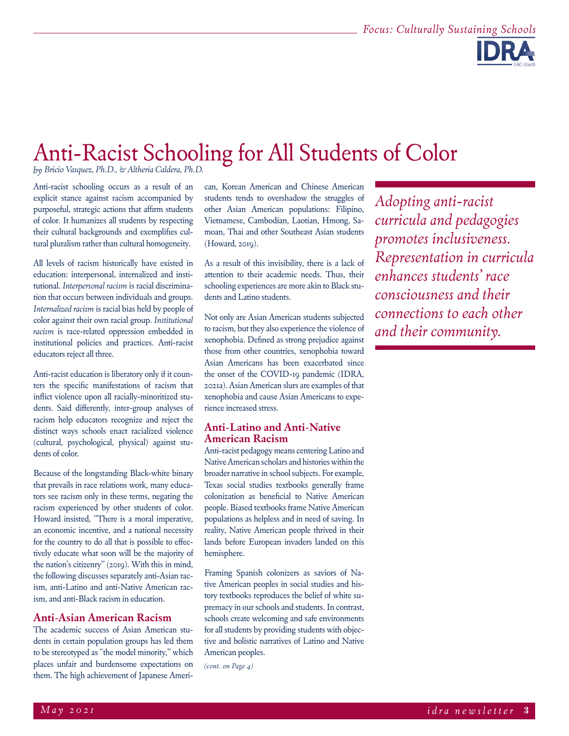

## Anti-Racist Schooling for All Students of Color

*by Bricio Vasquez, Ph.D., & Altheria Caldera, Ph.D.*

Anti-racist schooling occurs as a result of an explicit stance against racism accompanied by purposeful, strategic actions that affirm students of color. It humanizes all students by respecting their cultural backgrounds and exemplifies cultural pluralism rather than cultural homogeneity.

All levels of racism historically have existed in education: interpersonal, internalized and institutional. *Interpersonal racism* is racial discrimination that occurs between individuals and groups. *Internalized racism* is racial bias held by people of color against their own racial group. *Institutional racism* is race-related oppression embedded in institutional policies and practices. Anti-racist educators reject all three.

Anti-racist education is liberatory only if it counters the specific manifestations of racism that inflict violence upon all racially-minoritized students. Said differently, inter-group analyses of racism help educators recognize and reject the distinct ways schools enact racialized violence (cultural, psychological, physical) against students of color.

Because of the longstanding Black-white binary that prevails in race relations work, many educators see racism only in these terms, negating the racism experienced by other students of color. Howard insisted, "There is a moral imperative, an economic incentive, and a national necessity for the country to do all that is possible to effectively educate what soon will be the majority of the nation's citizenry" (2019). With this in mind, the following discusses separately anti-Asian racism, anti-Latino and anti-Native American racism, and anti-Black racism in education.

### **Anti-Asian American Racism**

The academic success of Asian American students in certain population groups has led them to be stereotyped as "the model minority," which places unfair and burdensome expectations on them. The high achievement of Japanese American, Korean American and Chinese American students tends to overshadow the struggles of other Asian American populations: Filipino, Vietnamese, Cambodian, Laotian, Hmong, Samoan, Thai and other Southeast Asian students (Howard, 2019).

As a result of this invisibility, there is a lack of attention to their academic needs. Thus, their schooling experiences are more akin to Black students and Latino students.

Not only are Asian American students subjected to racism, but they also experience the violence of xenophobia. Defined as strong prejudice against those from other countries, xenophobia toward Asian Americans has been exacerbated since the onset of the COVID-19 pandemic (IDRA, 2021a). Asian American slurs are examples of that xenophobia and cause Asian Americans to experience increased stress.

### **Anti-Latino and Anti-Native American Racism**

Anti-racist pedagogy means centering Latino and Native American scholars and histories within the broader narrative in school subjects. For example, Texas social studies textbooks generally frame colonization as beneficial to Native American people. Biased textbooks frame Native American populations as helpless and in need of saving. In reality, Native American people thrived in their lands before European invaders landed on this hemisphere.

Framing Spanish colonizers as saviors of Native American peoples in social studies and history textbooks reproduces the belief of white supremacy in our schools and students. In contrast, schools create welcoming and safe environments for all students by providing students with objective and holistic narratives of Latino and Native American peoples.

*(cont. on Page 4)*

*Adopting anti-racist curricula and pedagogies promotes inclusiveness. Representation in curricula enhances students' race consciousness and their connections to each other and their community.*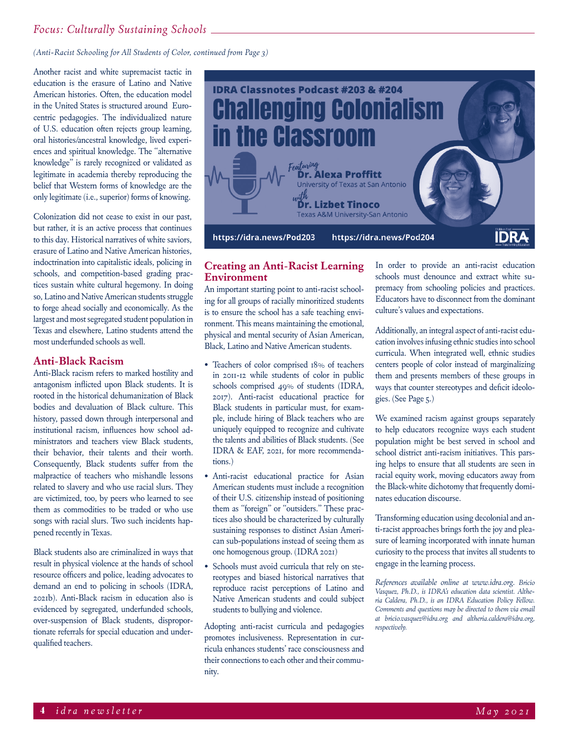## *Focus: Culturally Sustaining Schools*

*(Anti-Racist Schooling for All Students of Color, continued from Page 3)*

Another racist and white supremacist tactic in education is the erasure of Latino and Native American histories. Often, the education model in the United States is structured around Eurocentric pedagogies. The individualized nature of U.S. education often rejects group learning, oral histories/ancestral knowledge, lived experiences and spiritual knowledge. The "alternative knowledge" is rarely recognized or validated as legitimate in academia thereby reproducing the belief that Western forms of knowledge are the only legitimate (i.e., superior) forms of knowing.

Colonization did not cease to exist in our past, but rather, it is an active process that continues to this day. Historical narratives of white saviors, erasure of Latino and Native American histories, indoctrination into capitalistic ideals, policing in schools, and competition-based grading practices sustain white cultural hegemony. In doing so, Latino and Native American students struggle to forge ahead socially and economically. As the largest and most segregated student population in Texas and elsewhere, Latino students attend the most underfunded schools as well.

### **Anti-Black Racism**

Anti-Black racism refers to marked hostility and antagonism inflicted upon Black students. It is rooted in the historical dehumanization of Black bodies and devaluation of Black culture. This history, passed down through interpersonal and institutional racism, influences how school administrators and teachers view Black students, their behavior, their talents and their worth. Consequently, Black students suffer from the malpractice of teachers who mishandle lessons related to slavery and who use racial slurs. They are victimized, too, by peers who learned to see them as commodities to be traded or who use songs with racial slurs. Two such incidents happened recently in Texas.

Black students also are criminalized in ways that result in physical violence at the hands of school resource officers and police, leading advocates to demand an end to policing in schools (IDRA, 2021b). Anti-Black racism in education also is evidenced by segregated, underfunded schools, over-suspension of Black students, disproportionate referrals for special education and underqualified teachers.



### **Creating an Anti-Racist Learning Environment**

An important starting point to anti-racist schooling for all groups of racially minoritized students is to ensure the school has a safe teaching environment. This means maintaining the emotional, physical and mental security of Asian American, Black, Latino and Native American students.

- Teachers of color comprised 18% of teachers in 2011-12 while students of color in public schools comprised 49% of students (IDRA, 2017). Anti-racist educational practice for Black students in particular must, for example, include hiring of Black teachers who are uniquely equipped to recognize and cultivate the talents and abilities of Black students. (See IDRA & EAF, 2021, for more recommendations.)
- Anti-racist educational practice for Asian American students must include a recognition of their U.S. citizenship instead of positioning them as "foreign" or "outsiders." These practices also should be characterized by culturally sustaining responses to distinct Asian American sub-populations instead of seeing them as one homogenous group. (IDRA 2021)
- Schools must avoid curricula that rely on stereotypes and biased historical narratives that reproduce racist perceptions of Latino and Native American students and could subject students to bullying and violence.

Adopting anti-racist curricula and pedagogies promotes inclusiveness. Representation in curricula enhances students' race consciousness and their connections to each other and their community.

In order to provide an anti-racist education schools must denounce and extract white supremacy from schooling policies and practices. Educators have to disconnect from the dominant culture's values and expectations.

Additionally, an integral aspect of anti-racist education involves infusing ethnic studies into school curricula. When integrated well, ethnic studies centers people of color instead of marginalizing them and presents members of these groups in ways that counter stereotypes and deficit ideologies. (See Page 5.)

We examined racism against groups separately to help educators recognize ways each student population might be best served in school and school district anti-racism initiatives. This parsing helps to ensure that all students are seen in racial equity work, moving educators away from the Black-white dichotomy that frequently dominates education discourse.

Transforming education using decolonial and anti-racist approaches brings forth the joy and pleasure of learning incorporated with innate human curiosity to the process that invites all students to engage in the learning process.

*References available online at www.idra.org. Bricio Vasquez, Ph.D., is IDRA's education data scientist. Altheria Caldera, Ph.D., is an IDRA Education Policy Fellow. Comments and questions may be directed to them via email at bricio.vasquez@idra.org and altheria.caldera@idra.org, respectively.*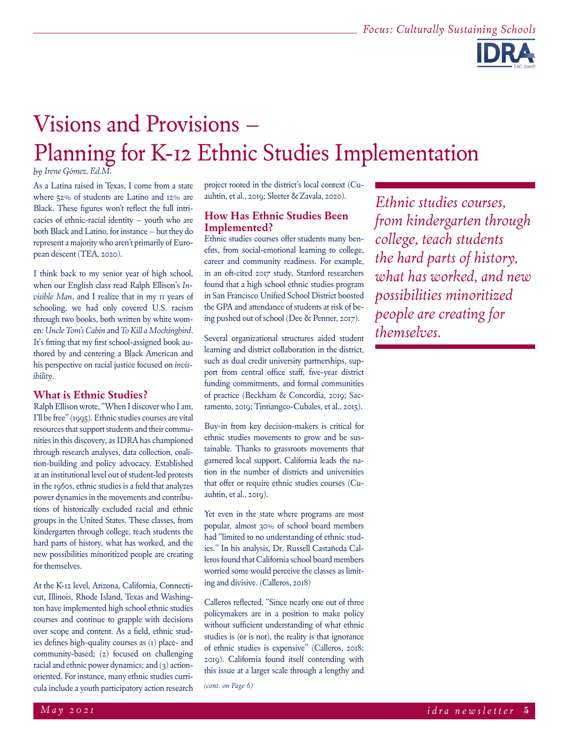

# Visions and Provisions – Planning for K-12 Ethnic Studies Implementation

*by Irene Gómez, Ed.M.*

As a Latina raised in Texas, I come from a state where 52% of students are Latino and 12% are Black. These figures won't reflect the full intricacies of ethnic-racial identity – youth who are both Black and Latino, for instance – but they do represent a majority who aren't primarily of European descent (TEA, 2020).

I think back to my senior year of high school, when our English class read Ralph Ellison's *Invisible Man*, and I realize that in my 11 years of schooling, we had only covered U.S. racism through two books, both written by white women: *Uncle Tom's Cabin* and *To Kill a Mockingbird*. It's fitting that my first school-assigned book authored by and centering a Black American and his perspective on racial justice focused on *invisibility*.

### **What is Ethnic Studies?**

Ralph Ellison wrote, "When I discover who I am, I'll be free" (1995). Ethnic studies courses are vital resources that support students and their communities in this discovery, as IDRA has championed through research analyses, data collection, coalition-building and policy advocacy. Established at an institutional level out of student-led protests in the 1960s, ethnic studies is a field that analyzes power dynamics in the movements and contributions of historically excluded racial and ethnic groups in the United States. These classes, from kindergarten through college, teach students the hard parts of history, what has worked, and the new possibilities minoritized people are creating for themselves.

At the K-12 level, Arizona, California, Connecticut, Illinois, Rhode Island, Texas and Washington have implemented high school ethnic studies courses and continue to grapple with decisions over scope and content. As a field, ethnic studies defines high-quality courses as (1) place- and community-based; (2) focused on challenging racial and ethnic power dynamics; and (3) actionoriented. For instance, many ethnic studies curricula include a youth participatory action research

project rooted in the district's local context (Cuauhtin, et al., 2019; Sleeter & Zavala, 2020).

### **How Has Ethnic Studies Been Implemented?**

Ethnic studies courses offer students many benefits, from social-emotional learning to college, career and community readiness. For example, in an oft-cited 2017 study, Stanford researchers found that a high school ethnic studies program in San Francisco Unified School District boosted the GPA and attendance of students at risk of being pushed out of school (Dee & Penner, 2017).

Several organizational structures aided student learning and district collaboration in the district, such as dual credit university partnerships, support from central office staff, five-year district funding commitments, and formal communities of practice (Beckham & Concordia, 2019; Sacramento, 2019; Tintiangco-Cubales, et al., 2015).

Buy-in from key decision-makers is critical for ethnic studies movements to grow and be sustainable. Thanks to grassroots movements that garnered local support, California leads the nation in the number of districts and universities that offer or require ethnic studies courses (Cuauhtin, et al., 2019).

Yet even in the state where programs are most popular, almost 30% of school board members had "limited to no understanding of ethnic studies." In his analysis, Dr. Russell Castañeda Calleros found that California school board members worried some would perceive the classes as limiting and divisive. (Calleros, 2018)

Calleros reflected, "Since nearly one out of three policymakers are in a position to make policy without sufficient understanding of what ethnic studies is (or is not), the reality is that ignorance of ethnic studies is expensive" (Calleros, 2018; 2019). California found itself contending with this issue at a larger scale through a lengthy and *(cont. on Page 6)*

*Ethnic studies courses, from kindergarten through college, teach students the hard parts of history, what has worked, and new possibilities minoritized people are creating for themselves.*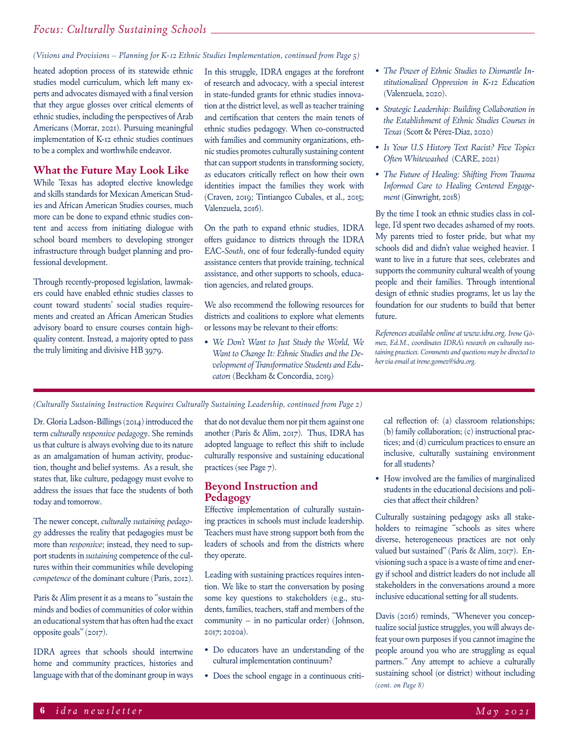*(Visions and Provisions – Planning for K-12 Ethnic Studies Implementation, continued from Page 5)*

heated adoption process of its statewide ethnic studies model curriculum, which left many experts and advocates dismayed with a final version that they argue glosses over critical elements of ethnic studies, including the perspectives of Arab Americans (Morrar, 2021). Pursuing meaningful implementation of K-12 ethnic studies continues to be a complex and worthwhile endeavor.

### **What the Future May Look Like**

While Texas has adopted elective knowledge and skills standards for Mexican American Studies and African American Studies courses, much more can be done to expand ethnic studies content and access from initiating dialogue with school board members to developing stronger infrastructure through budget planning and professional development.

Through recently-proposed legislation, lawmakers could have enabled ethnic studies classes to count toward students' social studies requirements and created an African American Studies advisory board to ensure courses contain highquality content. Instead, a majority opted to pass the truly limiting and divisive HB 3979.

In this struggle, IDRA engages at the forefront of research and advocacy, with a special interest in state-funded grants for ethnic studies innovation at the district level, as well as teacher training and certification that centers the main tenets of ethnic studies pedagogy. When co-constructed with families and community organizations, ethnic studies promotes culturally sustaining content that can support students in transforming society, as educators critically reflect on how their own identities impact the families they work with (Craven, 2019; Tintiangco Cubales, et al., 2015; Valenzuela, 2016).

On the path to expand ethnic studies, IDRA offers guidance to districts through the IDRA EAC-*South*, one of four federally-funded equity assistance centers that provide training, technical assistance, and other supports to schools, education agencies, and related groups.

We also recommend the following resources for districts and coalitions to explore what elements or lessons may be relevant to their efforts:

*• We Don't Want to Just Study the World, We Want to Change It: Ethnic Studies and the Development of Transformative Students and Educators* (Beckham & Concordia, 2019)

- *• The Power of Ethnic Studies to Dismantle Institutionalized Oppression in K-12 Education* (Valenzuela, 2020).
- *• Strategic Leadership: Building Collaboration in the Establishment of Ethnic Studies Courses in Texas* (Scott & Pérez-Díaz, 2020)
- *• Is Your U.S History Text Racist? Five Topics Often Whitewashed* (CARE, 2021)
- *• The Future of Healing: Shifting From Trauma Informed Care to Healing Centered Engagement* (Ginwright, 2018)

By the time I took an ethnic studies class in college, I'd spent two decades ashamed of my roots. My parents tried to foster pride, but what my schools did and didn't value weighed heavier. I want to live in a future that sees, celebrates and supports the community cultural wealth of young people and their families. Through intentional design of ethnic studies programs, let us lay the foundation for our students to build that better future.

*References available online at www.idra.org. Irene Gómez, Ed.M., coordinates IDRA's research on culturally sustaining practices. Comments and questions may be directed to her via email at irene.gomez@idra.org.*

*(Culturally Sustaining Instruction Requires Culturally Sustaining Leadership, continued from Page 2)*

Dr. Gloria Ladson-Billings (2014) introduced the term *culturally responsive pedagogy*. She reminds us that culture is always evolving due to its nature as an amalgamation of human activity, production, thought and belief systems. As a result, she states that, like culture, pedagogy must evolve to address the issues that face the students of both today and tomorrow.

The newer concept, *culturally sustaining pedagogy* addresses the reality that pedagogies must be more than *responsive*; instead, they need to support students in *sustaining* competence of the cultures within their communities while developing *competence* of the dominant culture (Paris, 2012).

Paris & Alim present it as a means to "sustain the minds and bodies of communities of color within an educational system that has often had the exact opposite goals" (2017).

IDRA agrees that schools should intertwine home and community practices, histories and language with that of the dominant group in ways

that do not devalue them nor pit them against one another (Paris & Alim, 2017). Thus, IDRA has adopted language to reflect this shift to include culturally responsive and sustaining educational practices (see Page 7).

### **Beyond Instruction and Pedagogy**

Effective implementation of culturally sustaining practices in schools must include leadership. Teachers must have strong support both from the leaders of schools and from the districts where they operate.

Leading with sustaining practices requires intention. We like to start the conversation by posing some key questions to stakeholders (e.g., students, families, teachers, staff and members of the community – in no particular order) (Johnson, 2017; 2020a).

- Do educators have an understanding of the cultural implementation continuum?
- Does the school engage in a continuous criti-

cal reflection of: (a) classroom relationships; (b) family collaboration; (c) instructional practices; and (d) curriculum practices to ensure an inclusive, culturally sustaining environment for all students?

• How involved are the families of marginalized students in the educational decisions and policies that affect their children?

Culturally sustaining pedagogy asks all stakeholders to reimagine "schools as sites where diverse, heterogeneous practices are not only valued but sustained" (Paris & Alim, 2017). Envisioning such a space is a waste of time and energy if school and district leaders do not include all stakeholders in the conversations around a more inclusive educational setting for all students.

Davis (2016) reminds, "Whenever you conceptualize social justice struggles, you will always defeat your own purposes if you cannot imagine the people around you who are struggling as equal partners." Any attempt to achieve a culturally sustaining school (or district) without including *(cont. on Page 8)*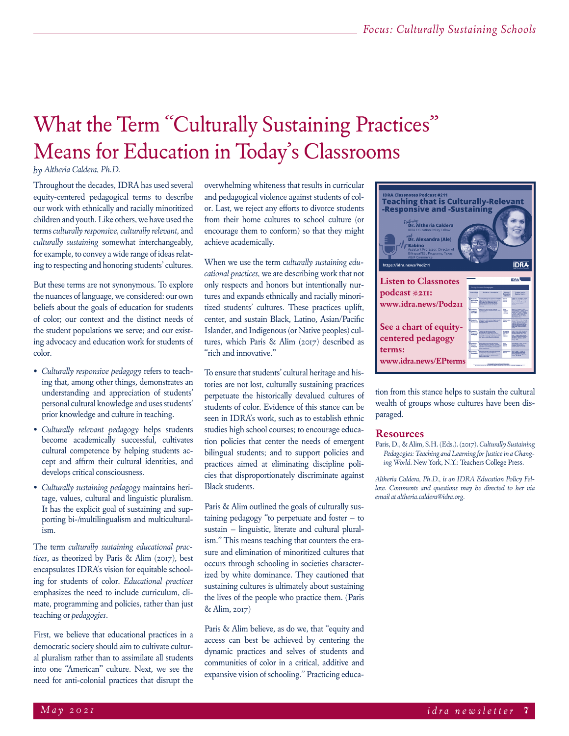## What the Term "Culturally Sustaining Practices" Means for Education in Today's Classrooms

### *by Altheria Caldera, Ph.D.*

Throughout the decades, IDRA has used several equity-centered pedagogical terms to describe our work with ethnically and racially minoritized children and youth. Like others, we have used the terms *culturally responsive, culturally relevant,* and *culturally sustaining* somewhat interchangeably, for example, to convey a wide range of ideas relating to respecting and honoring students' cultures.

But these terms are not synonymous. To explore the nuances of language, we considered: our own beliefs about the goals of education for students of color; our context and the distinct needs of the student populations we serve; and our existing advocacy and education work for students of color.

- *• Culturally responsive pedagogy* refers to teaching that, among other things, demonstrates an understanding and appreciation of students' personal cultural knowledge and uses students' prior knowledge and culture in teaching.
- *• Culturally relevant pedagogy* helps students become academically successful, cultivates cultural competence by helping students accept and affirm their cultural identities, and develops critical consciousness.
- *• Culturally sustaining pedagogy* maintains heritage, values, cultural and linguistic pluralism. It has the explicit goal of sustaining and supporting bi-/multilingualism and multiculturalism.

The term *culturally sustaining educational practices*, as theorized by Paris & Alim (2017), best encapsulates IDRA's vision for equitable schooling for students of color. *Educational practices* emphasizes the need to include curriculum, climate, programming and policies, rather than just teaching or *pedagogies*.

First, we believe that educational practices in a democratic society should aim to cultivate cultural pluralism rather than to assimilate all students into one "American" culture. Next, we see the need for anti-colonial practices that disrupt the overwhelming whiteness that results in curricular and pedagogical violence against students of color. Last, we reject any efforts to divorce students from their home cultures to school culture (or encourage them to conform) so that they might achieve academically.

When we use the term c*ulturally sustaining educational practices,* we are describing work that not only respects and honors but intentionally nurtures and expands ethnically and racially minoritized students' cultures. These practices uplift, center, and sustain Black, Latino, Asian/Pacific Islander, and Indigenous (or Native peoples) cultures, which Paris & Alim (2017) described as "rich and innovative."

To ensure that students' cultural heritage and histories are not lost, culturally sustaining practices perpetuate the historically devalued cultures of students of color. Evidence of this stance can be seen in IDRA's work, such as to establish ethnic studies high school courses; to encourage education policies that center the needs of emergent bilingual students; and to support policies and practices aimed at eliminating discipline policies that disproportionately discriminate against Black students.

Paris & Alim outlined the goals of culturally sustaining pedagogy "to perpetuate and foster – to sustain – linguistic, literate and cultural pluralism." This means teaching that counters the erasure and elimination of minoritized cultures that occurs through schooling in societies characterized by white dominance. They cautioned that sustaining cultures is ultimately about sustaining the lives of the people who practice them. (Paris & Alim, 2017)

Paris & Alim believe, as do we, that "equity and access can best be achieved by centering the dynamic practices and selves of students and communities of color in a critical, additive and expansive vision of schooling." Practicing educa-



tion from this stance helps to sustain the cultural wealth of groups whose cultures have been disparaged.

#### **Resources**

Paris, D., & Alim, S.H. (Eds.). (2017). *Culturally Sustaining Pedagogies: Teaching and Learning for Justice in a Changing World*. New York, N.Y.: Teachers College Press.

*Altheria Caldera, Ph.D., is an IDRA Education Policy Fellow. Comments and questions may be directed to her via email at altheria.caldera@idra.org.*